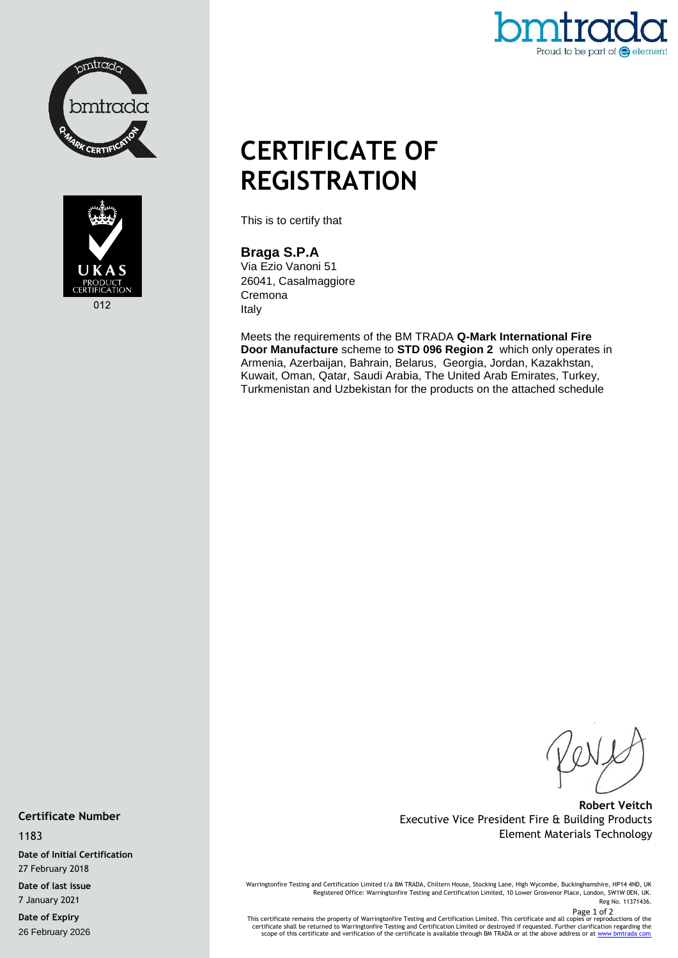



# Proud to be part of  $\bigodot$  element

# **CERTIFICATE OF REGISTRATION**

This is to certify that

## **Braga S.P.A**

Via Ezio Vanoni 51 26041, Casalmaggiore Cremona Italy

Meets the requirements of the BM TRADA **Q-Mark International Fire Door Manufacture** scheme to **STD 096 Region 2** which only operates in Armenia, Azerbaijan, Bahrain, Belarus, Georgia, Jordan, Kazakhstan, Kuwait, Oman, Qatar, Saudi Arabia, The United Arab Emirates, Turkey, Turkmenistan and Uzbekistan for the products on the attached schedule

**Robert Veitch** Executive Vice President Fire & Building Products Element Materials Technology

Warringtonfire Testing and Certification Limited t/a BM TRADA, Chiltern House, Stocking Lane, High Wycombe, Buckinghamshire, HP14 4ND, UK Registered Office: Warringtonfire Testing and Certification Limited, 10 Lower Grosvenor Place, London, SW1W 0EN, UK. Reg No. 11371436.

Page 1 of 2<br>- This certificate remains the property of Warringtonfire Testing and Certification Limited. This certificate and all copies or reproductions of the<br>- certificate shall be returned to Warringtonfire Testing and

**Certificate Number**

#### 1183

**Date of Initial Certification** 27 February 2018

**Date of last issue** 7 January 2021

**Date of Expiry** 26 February 2026